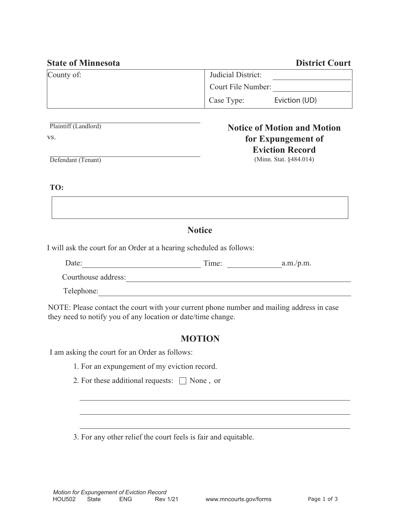| <b>State of Minnesota</b> |                    | <b>District Court</b> |
|---------------------------|--------------------|-----------------------|
| County of:                | Judicial District: |                       |
|                           | Court File Number: |                       |
|                           | Case Type:         | Eviction (UD)         |
|                           |                    |                       |

Plaintiff (Landlord) vs.

### **Notice of Motion and Motion for Expungement of Eviction Record**  (Minn. Stat. §484.014)

Defendant (Tenant)

**TO:**

# **Notice**

I will ask the court for an Order at a hearing scheduled as follows:

| Date:               | Time: | a.m./p.m. |
|---------------------|-------|-----------|
| Courthouse address: |       |           |
| Telephone:          |       |           |

NOTE: Please contact the court with your current phone number and mailing address in case they need to notify you of any location or date/time change.

# **MOTION**

I am asking the court for an Order as follows:

- 1. For an expungement of my eviction record.
- 2. For these additional requests:  $\Box$  None, or

3. For any other relief the court feels is fair and equitable.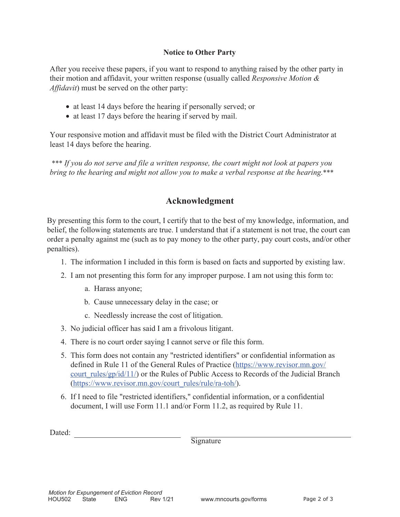#### **Notice to Other Party**

After you receive these papers, if you want to respond to anything raised by the other party in their motion and affidavit, your written response (usually called *Responsive Motion & Affidavit*) must be served on the other party:

- at least 14 days before the hearing if personally served; or
- at least 17 days before the hearing if served by mail.

Your responsive motion and affidavit must be filed with the District Court Administrator at least 14 days before the hearing.

\*\*\* If you do not serve and file a written response, the court might not look at papers you *bring to the hearing and might not allow you to make a verbal response at the hearing.*\*\*\*

## **Acknowledgment**

By presenting this form to the court, I certify that to the best of my knowledge, information, and belief, the following statements are true. I understand that if a statement is not true, the court can order a penalty against me (such as to pay money to the other party, pay court costs, and/or other penalties).

- 1. The information I included in this form is based on facts and supported by existing law.
- 2. I am not presenting this form for any improper purpose. I am not using this form to:
	- a. Harass anyone;
	- b. Cause unnecessary delay in the case; or
	- c. Needlessly increase the cost of litigation.
- 3. No judicial officer has said I am a frivolous litigant.
- 4. There is no court order saying I cannot serve or file this form.
- 5. This form does not contain any "restricted identifiers" or confidential information as defined in Rule 11 of the General Rules of Practice (https://www.revisor.mn.gov/ court rules/gp/id/11/) or the Rules of Public Access to Records of the Judicial Branch (https://www.revisor.mn.gov/court\_rules/rule/ra-toh/).
- 6. If I need to file "restricted identifiers," confidential information, or a confidential document, I will use Form 11.1 and/or Form 11.2, as required by Rule 11.

Dated:

**Signature**